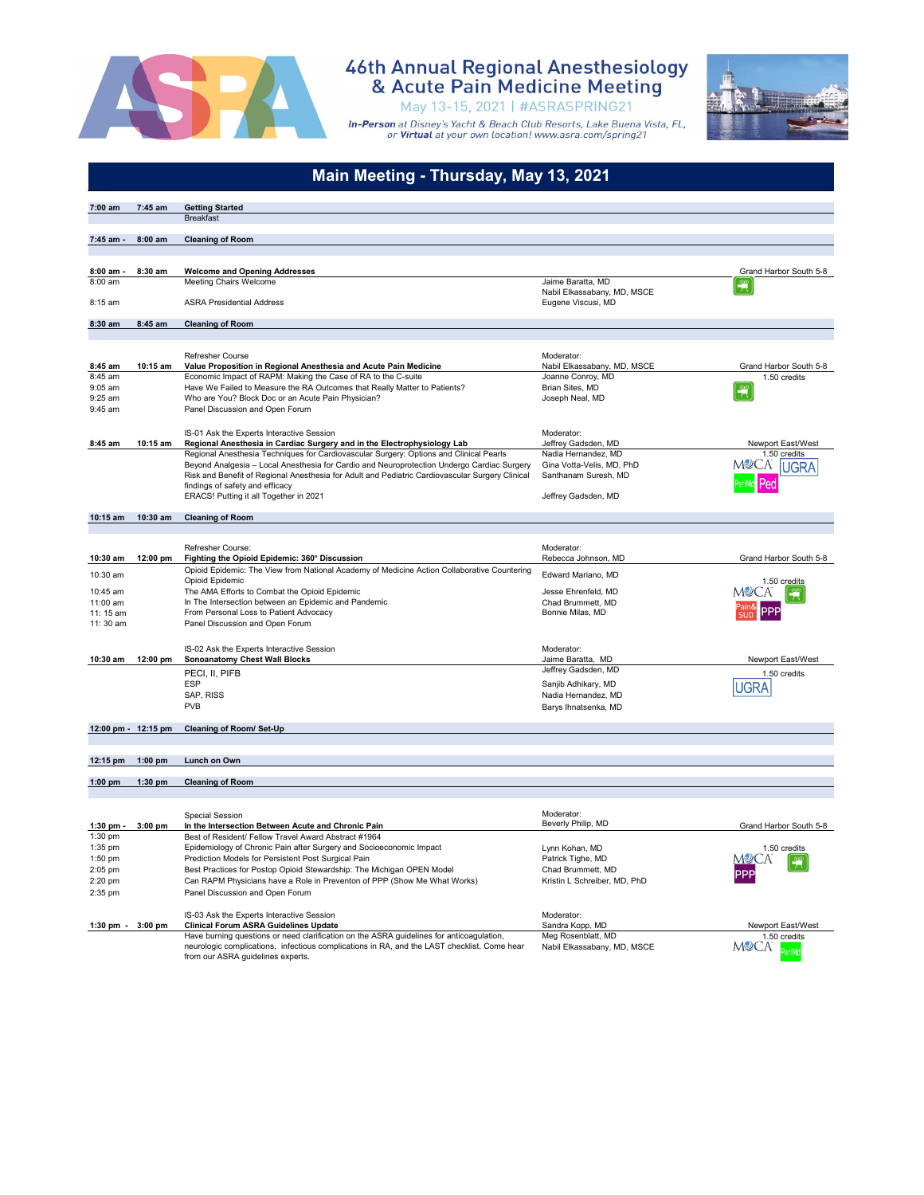

#### 46th Annual Regional Anesthesiology<br>& Acute Pain Medicine Meeting May 13-15, 2021 | #ASRASPRING21



|                     |           | Main Meeting - Thursday, May 13, 2021                                                                                                                                                |                                                   |                              |
|---------------------|-----------|--------------------------------------------------------------------------------------------------------------------------------------------------------------------------------------|---------------------------------------------------|------------------------------|
| 7:00 am             | 7:45 am   | <b>Getting Started</b>                                                                                                                                                               |                                                   |                              |
|                     |           | <b>Breakfast</b>                                                                                                                                                                     |                                                   |                              |
| 7:45 am -           | $8:00$ am | <b>Cleaning of Room</b>                                                                                                                                                              |                                                   |                              |
| 8:00 am             | 8:30 am   | <b>Welcome and Opening Addresses</b>                                                                                                                                                 |                                                   | Grand Harbor South 5-8       |
| 8:00 am             |           | Meeting Chairs Welcome                                                                                                                                                               | Jaime Baratta, MD                                 | $\frac{\infty}{\mathcal{L}}$ |
| 8:15 am             |           | <b>ASRA Presidential Address</b>                                                                                                                                                     | Nabil Elkassabany, MD, MSCE<br>Eugene Viscusi, MD |                              |
| 8:30 am             | 8:45 am   | <b>Cleaning of Room</b>                                                                                                                                                              |                                                   |                              |
|                     |           |                                                                                                                                                                                      |                                                   |                              |
|                     |           | <b>Refresher Course</b>                                                                                                                                                              | Moderator:                                        |                              |
| 8:45 am             | 10:15 am  | Value Proposition in Regional Anesthesia and Acute Pain Medicine                                                                                                                     | Nabil Elkassabany, MD, MSCE                       | Grand Harbor South 5-8       |
| 8:45 am             |           | Economic Impact of RAPM: Making the Case of RA to the C-suite                                                                                                                        | Joanne Conroy, MD                                 | 1.50 credits                 |
| 9:05 am             |           | Have We Failed to Measure the RA Outcomes that Really Matter to Patients?                                                                                                            | Brian Sites, MD                                   | $\frac{\infty}{\sqrt{2}}$    |
| 9:25 am             |           | Who are You? Block Doc or an Acute Pain Physician?                                                                                                                                   | Joseph Neal, MD                                   |                              |
| 9:45 am             |           | Panel Discussion and Open Forum                                                                                                                                                      |                                                   |                              |
|                     |           | IS-01 Ask the Experts Interactive Session                                                                                                                                            | Moderator:                                        |                              |
| 8:45 am             | 10:15 am  | Regional Anesthesia in Cardiac Surgery and in the Electrophysiology Lab                                                                                                              | Jeffrey Gadsden, MD                               | Newport East/West            |
|                     |           | Regional Anesthesia Techniques for Cardiovascular Surgery: Options and Clinical Pearls<br>Beyond Analgesia - Local Anesthesia for Cardio and Neuroprotection Undergo Cardiac Surgery | Nadia Hernandez, MD<br>Gina Votta-Velis, MD, PhD  | 1.50 credits                 |
|                     |           | Risk and Benefit of Regional Anesthesia for Adult and Pediatric Cardiovascular Surgery Clinical                                                                                      | Santhanam Suresh, MD                              | JGRA                         |
|                     |           | findings of safety and efficacy                                                                                                                                                      |                                                   |                              |
|                     |           | ERACS! Putting it all Together in 2021                                                                                                                                               | Jeffrey Gadsden, MD                               |                              |
| $10:15$ am          | 10:30 am  | <b>Cleaning of Room</b>                                                                                                                                                              |                                                   |                              |
|                     |           |                                                                                                                                                                                      |                                                   |                              |
|                     |           |                                                                                                                                                                                      |                                                   |                              |
| 10:30 am            | 12:00 pm  | Refresher Course:<br>Fighting the Opioid Epidemic: 360° Discussion                                                                                                                   | Moderator:<br>Rebecca Johnson, MD                 | Grand Harbor South 5-8       |
|                     |           | Opioid Epidemic: The View from National Academy of Medicine Action Collaborative Countering                                                                                          |                                                   |                              |
| 10:30 am            |           | Opioid Epidemic                                                                                                                                                                      | Edward Mariano, MD                                | 1.50 credits                 |
| 10:45 am            |           | The AMA Efforts to Combat the Opioid Epidemic                                                                                                                                        | Jesse Ehrenfeld, MD                               | MV.                          |
| 11:00 am            |           | In The Intersection between an Epidemic and Pandemic                                                                                                                                 | Chad Brummett, MD                                 |                              |
| 11: 15 am           |           | From Personal Loss to Patient Advocacy                                                                                                                                               | Bonnie Milas, MD                                  |                              |
| 11:30 am            |           | Panel Discussion and Open Forum                                                                                                                                                      |                                                   |                              |
|                     |           | IS-02 Ask the Experts Interactive Session                                                                                                                                            | Moderator:                                        |                              |
| 10:30 am            | 12:00 pm  | <b>Sonoanatomy Chest Wall Blocks</b>                                                                                                                                                 | Jaime Baratta, MD                                 | Newport East/West            |
|                     |           | PECI, II, PIFB                                                                                                                                                                       | Jeffrey Gadsden, MD                               | 1.50 credits                 |
|                     |           | <b>ESP</b>                                                                                                                                                                           | Sanjib Adhikary, MD                               | UGRA                         |
|                     |           | SAP, RISS                                                                                                                                                                            | Nadia Hernandez, MD                               |                              |
|                     |           | <b>PVB</b>                                                                                                                                                                           | Barys Ihnatsenka, MD                              |                              |
|                     |           |                                                                                                                                                                                      |                                                   |                              |
| 12:00 pm - 12:15 pm |           | <b>Cleaning of Room/ Set-Up</b>                                                                                                                                                      |                                                   |                              |
|                     |           |                                                                                                                                                                                      |                                                   |                              |
| $12:15 \text{ pm}$  | $1:00$ pm | Lunch on Own                                                                                                                                                                         |                                                   |                              |
| $1:00$ pm           | 1:30 pm   | <b>Cleaning of Room</b>                                                                                                                                                              |                                                   |                              |
|                     |           |                                                                                                                                                                                      |                                                   |                              |
|                     |           | <b>Special Session</b>                                                                                                                                                               | Moderator:                                        |                              |
| $1:30$ pm -         | $3:00$ pm | In the Intersection Between Acute and Chronic Pain                                                                                                                                   | Beverly Philip, MD                                | Grand Harbor South 5-8       |
| 1:30 pm             |           | Best of Resident/ Fellow Travel Award Abstract #1964                                                                                                                                 |                                                   |                              |
| 1:35 pm<br>1:50 pm  |           | Epidemiology of Chronic Pain after Surgery and Socioeconomic Impact<br>Prediction Models for Persistent Post Surgical Pain                                                           | Lynn Kohan, MD<br>Patrick Tighe, MD               | 1.50 credits                 |
| 2:05 pm             |           | Best Practices for Postop Opioid Stewardship: The Michigan OPEN Model                                                                                                                | Chad Brummett, MD                                 |                              |
| 2:20 pm             |           | Can RAPM Physicians have a Role in Preventon of PPP (Show Me What Works)                                                                                                             | Kristin L Schreiber, MD, PhD                      |                              |
| 2:35 pm             |           | Panel Discussion and Open Forum                                                                                                                                                      |                                                   |                              |
|                     |           |                                                                                                                                                                                      |                                                   |                              |
|                     | 3:00 pm   | IS-03 Ask the Experts Interactive Session<br><b>Clinical Forum ASRA Guidelines Update</b>                                                                                            | Moderator:<br>Sandra Kopp, MD                     | Newport East/West            |
| 1:30 pm $-$         |           | Have burning questions or need clarification on the ASRA guidelines for anticoagulation,                                                                                             | Meg Rosenblatt, MD                                | 1.50 credits                 |
|                     |           | neurologic complications, infectious complications in RA, and the LAST checklist. Come hear                                                                                          | Nabil Elkassabany, MD, MSCE                       | M2CA                         |
|                     |           | from our ASRA guidelines experts.                                                                                                                                                    |                                                   |                              |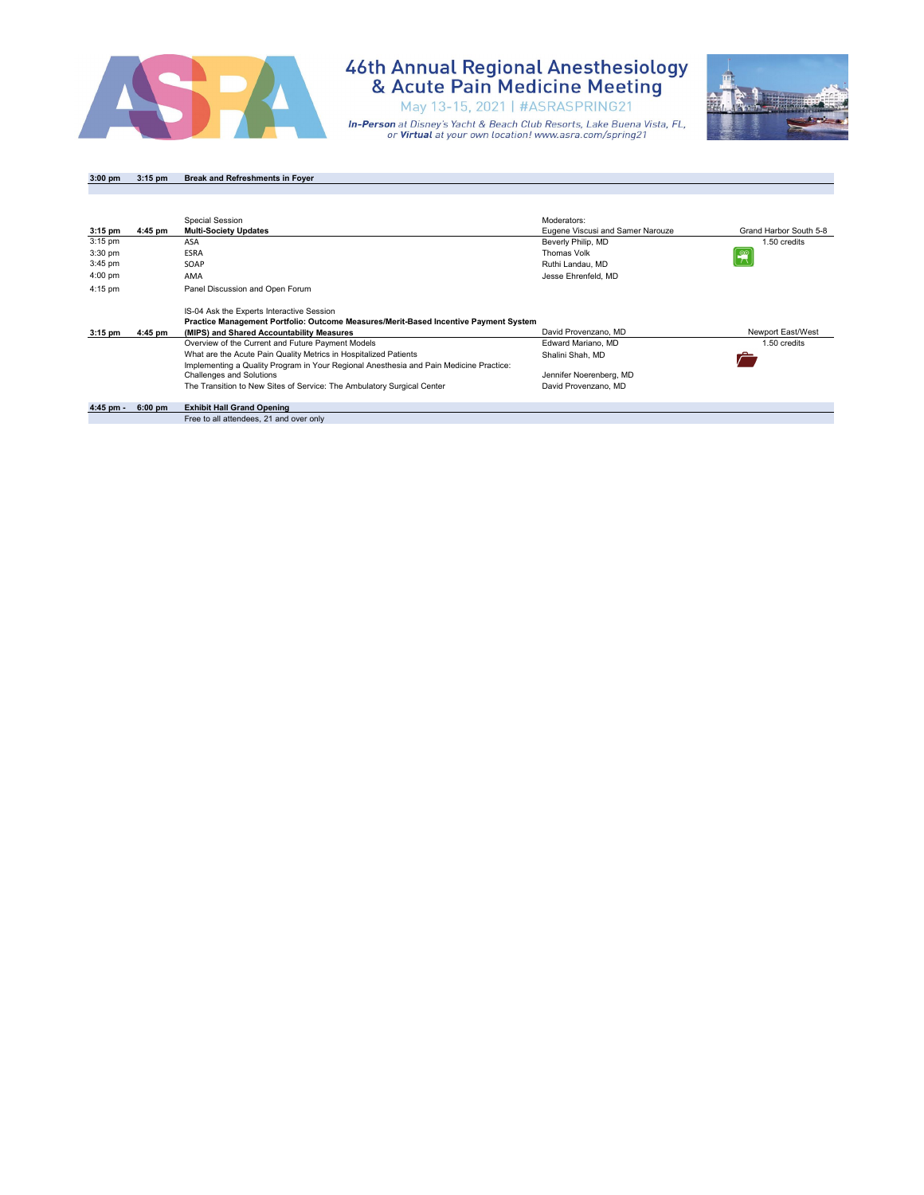

May 13-15, 2021 | #ASRASPRING21

**In-Person** at Disney's Yacht & Beach Club Resorts, Lake Buena Vista, FL,<br>or **Virtual** at your own location! www.asra.com/spring21



**3:00 pm 3:15 pm Break and Refreshments in Foyer**

|           |           | Special Session                                                                        | Moderators:                      |                        |
|-----------|-----------|----------------------------------------------------------------------------------------|----------------------------------|------------------------|
| $3:15$ pm | 4:45 pm   | <b>Multi-Society Updates</b>                                                           | Eugene Viscusi and Samer Narouze | Grand Harbor South 5-8 |
| $3:15$ pm |           | ASA                                                                                    | Beverly Philip, MD               | 1.50 credits           |
| $3:30$ pm |           | <b>ESRA</b>                                                                            | Thomas Volk                      |                        |
| $3:45$ pm |           | SOAP                                                                                   | Ruthi Landau, MD                 |                        |
| $4:00$ pm |           | AMA                                                                                    | Jesse Ehrenfeld, MD              |                        |
| 4:15 pm   |           | Panel Discussion and Open Forum                                                        |                                  |                        |
|           |           | IS-04 Ask the Experts Interactive Session                                              |                                  |                        |
|           |           | Practice Management Portfolio: Outcome Measures/Merit-Based Incentive Payment System   |                                  |                        |
| $3:15$ pm | 4:45 pm   | (MIPS) and Shared Accountability Measures                                              | David Provenzano, MD             | Newport East/West      |
|           |           | Overview of the Current and Future Payment Models                                      | Edward Mariano, MD               | 1.50 credits           |
|           |           | What are the Acute Pain Quality Metrics in Hospitalized Patients                       | Shalini Shah, MD                 |                        |
|           |           | Implementing a Quality Program in Your Regional Anesthesia and Pain Medicine Practice: |                                  |                        |
|           |           | <b>Challenges and Solutions</b>                                                        | Jennifer Noerenberg, MD          |                        |
|           |           | The Transition to New Sites of Service: The Ambulatory Surgical Center                 | David Provenzano, MD             |                        |
| 4:45 pm - | $6:00$ pm | <b>Exhibit Hall Grand Opening</b>                                                      |                                  |                        |
|           |           | Free to all attendees, 21 and over only                                                |                                  |                        |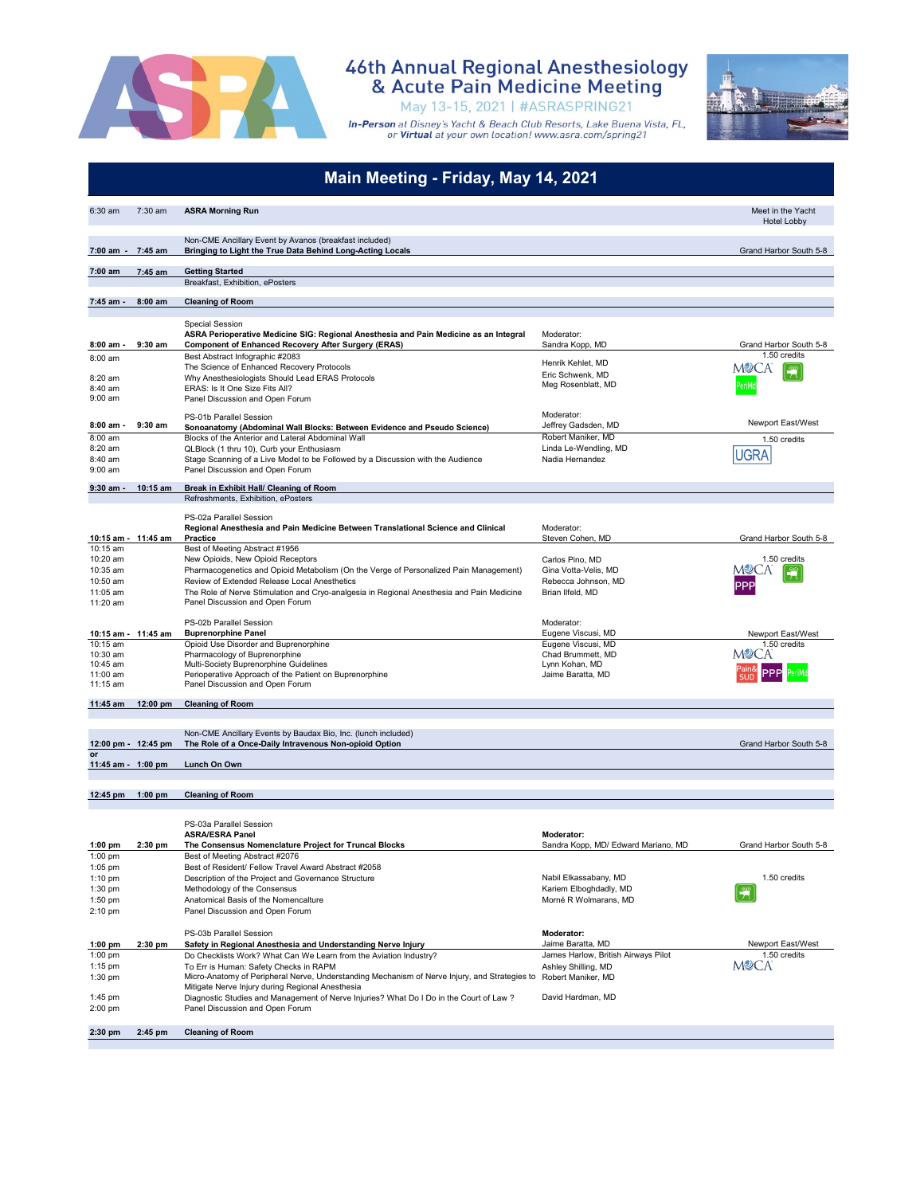

May 13-15, 2021 | #ASRASPRING21



|                                                         |           | Main Meeting - Friday, May 14, 2021                                                                                                                                                                                                                                                                                                                 |                                                                                                     |                                                  |
|---------------------------------------------------------|-----------|-----------------------------------------------------------------------------------------------------------------------------------------------------------------------------------------------------------------------------------------------------------------------------------------------------------------------------------------------------|-----------------------------------------------------------------------------------------------------|--------------------------------------------------|
| $6:30$ am                                               | $7:30$ am | <b>ASRA Morning Run</b>                                                                                                                                                                                                                                                                                                                             |                                                                                                     | Meet in the Yacht<br><b>Hotel Lobby</b>          |
| 7:00 am -                                               | 7:45 am   | Non-CME Ancillary Event by Avanos (breakfast included)<br>Bringing to Light the True Data Behind Long-Acting Locals                                                                                                                                                                                                                                 |                                                                                                     | Grand Harbor South 5-8                           |
| 7:00 am                                                 | 7:45 am   | <b>Getting Started</b>                                                                                                                                                                                                                                                                                                                              |                                                                                                     |                                                  |
|                                                         |           | Breakfast, Exhibition, ePosters                                                                                                                                                                                                                                                                                                                     |                                                                                                     |                                                  |
| 7:45 am -                                               | $8:00$ am | <b>Cleaning of Room</b>                                                                                                                                                                                                                                                                                                                             |                                                                                                     |                                                  |
| 8:00 am -                                               | $9:30$ am | <b>Special Session</b><br>ASRA Perioperative Medicine SIG: Regional Anesthesia and Pain Medicine as an Integral<br><b>Component of Enhanced Recovery After Surgery (ERAS)</b>                                                                                                                                                                       | Moderator:<br>Sandra Kopp, MD                                                                       | Grand Harbor South 5-8                           |
| 8:00 am<br>8:20 am<br>8:40 am<br>$9:00$ am              |           | Best Abstract Infographic #2083<br>The Science of Enhanced Recovery Protocols<br>Why Anesthesiologists Should Lead ERAS Protocols<br>ERAS: Is It One Size Fits All?<br>Panel Discussion and Open Forum                                                                                                                                              | Henrik Kehlet, MD<br>Eric Schwenk, MD<br>Meg Rosenblatt, MD                                         | 1.50 credits<br>M⊉CA                             |
| 8:00 am -<br>8:00 am<br>8:20 am<br>8:40 am<br>$9:00$ am | $9:30$ am | PS-01b Parallel Session<br>Sonoanatomy (Abdominal Wall Blocks: Between Evidence and Pseudo Science)<br>Blocks of the Anterior and Lateral Abdominal Wall<br>QLBlock (1 thru 10), Curb your Enthusiasm<br>Stage Scanning of a Live Model to be Followed by a Discussion with the Audience<br>Panel Discussion and Open Forum                         | Moderator:<br>Jeffrey Gadsden, MD<br>Robert Maniker, MD<br>Linda Le-Wendling, MD<br>Nadia Hernandez | Newport East/West<br>1.50 credits<br><b>UGRA</b> |
| $9:30$ am -                                             | 10:15 am  | Break in Exhibit Hall/ Cleaning of Room<br>Refreshments, Exhibition, ePosters                                                                                                                                                                                                                                                                       |                                                                                                     |                                                  |
| 10:15 am - 11:45 am<br>10:15 am<br>10:20 am<br>10:35 am |           | PS-02a Parallel Session<br>Regional Anesthesia and Pain Medicine Between Translational Science and Clinical<br>Practice<br>Best of Meeting Abstract #1956<br>New Opioids, New Opioid Receptors<br>Pharmacogenetics and Opioid Metabolism (On the Verge of Personalized Pain Management)                                                             | Moderator:<br>Steven Cohen, MD<br>Carlos Pino, MD<br>Gina Votta-Velis, MD                           | Grand Harbor South 5-8<br>1.50 credits<br>MYCA   |
| 10:50 am<br>11:05 am<br>11:20 am                        |           | Review of Extended Release Local Anesthetics<br>The Role of Nerve Stimulation and Cryo-analgesia in Regional Anesthesia and Pain Medicine<br>Panel Discussion and Open Forum<br>PS-02b Parallel Session                                                                                                                                             | Rebecca Johnson, MD<br>Brian Ilfeld, MD<br>Moderator:                                               |                                                  |
| 10:15 am - 11:45 am<br>10:15 am                         |           | <b>Buprenorphine Panel</b><br>Opioid Use Disorder and Buprenorphine                                                                                                                                                                                                                                                                                 | Eugene Viscusi, MD<br>Eugene Viscusi, MD                                                            | Newport East/West<br>1.50 credits                |
| 10:30 am<br>10:45 am<br>11:00 am<br>11:15 am            |           | Pharmacology of Buprenorphine<br>Multi-Society Buprenorphine Guidelines<br>Perioperative Approach of the Patient on Buprenorphine<br>Panel Discussion and Open Forum                                                                                                                                                                                | Chad Brummett, MD<br>Lynn Kohan, MD<br>Jaime Baratta, MD                                            | MYCA                                             |
| 11:45 am                                                | 12:00 pm  | <b>Cleaning of Room</b>                                                                                                                                                                                                                                                                                                                             |                                                                                                     |                                                  |
| 12:00 pm - 12:45 pm                                     |           | Non-CME Ancillary Events by Baudax Bio, Inc. (lunch included)<br>The Role of a Once-Daily Intravenous Non-opioid Option                                                                                                                                                                                                                             |                                                                                                     | Grand Harbor South 5-8                           |
| or<br>11:45 am - 1:00 pm                                |           | Lunch On Own                                                                                                                                                                                                                                                                                                                                        |                                                                                                     |                                                  |
| $12:45 \text{ pm}$                                      | $1:00$ pm | <b>Cleaning of Room</b>                                                                                                                                                                                                                                                                                                                             |                                                                                                     |                                                  |
| $1:00$ pm<br>1:00 pm                                    | $2:30$ pm | PS-03a Parallel Session<br><b>ASRA/ESRA Panel</b><br>The Consensus Nomenclature Project for Truncal Blocks<br>Best of Meeting Abstract #2076                                                                                                                                                                                                        | <b>Moderator:</b><br>Sandra Kopp, MD/ Edward Mariano, MD                                            | Grand Harbor South 5-8                           |
| $1:05$ pm<br>1:10 pm<br>$1:30$ pm<br>1:50 pm<br>2:10 pm |           | Best of Resident/ Fellow Travel Award Abstract #2058<br>Description of the Project and Governance Structure<br>Methodology of the Consensus<br>Anatomical Basis of the Nomencalture<br>Panel Discussion and Open Forum                                                                                                                              | Nabil Elkassabany, MD<br>Kariem Elboghdadly, MD<br>Morné R Wolmarans, MD                            | 1.50 credits                                     |
|                                                         |           | PS-03b Parallel Session                                                                                                                                                                                                                                                                                                                             | Moderator:                                                                                          |                                                  |
| $1:00$ pm<br>1:00 pm<br>1:15 pm<br>$1:30$ pm            | $2:30$ pm | Safety in Regional Anesthesia and Understanding Nerve Injury<br>Do Checklists Work? What Can We Learn from the Aviation Industry?<br>To Err is Human: Safety Checks in RAPM<br>Micro-Anatomy of Peripheral Nerve, Understanding Mechanism of Nerve Injury, and Strategies to Robert Maniker, MD<br>Mitigate Nerve Injury during Regional Anesthesia | Jaime Baratta, MD<br>James Harlow, British Airways Pilot<br>Ashley Shilling, MD                     | Newport East/West<br>1.50 credits<br>M⊉CA        |
| 1:45 pm<br>2:00 pm                                      |           | Diagnostic Studies and Management of Nerve Injuries? What Do I Do in the Court of Law?<br>Panel Discussion and Open Forum                                                                                                                                                                                                                           | David Hardman, MD                                                                                   |                                                  |
| 2:30 pm                                                 | 2:45 pm   | <b>Cleaning of Room</b>                                                                                                                                                                                                                                                                                                                             |                                                                                                     |                                                  |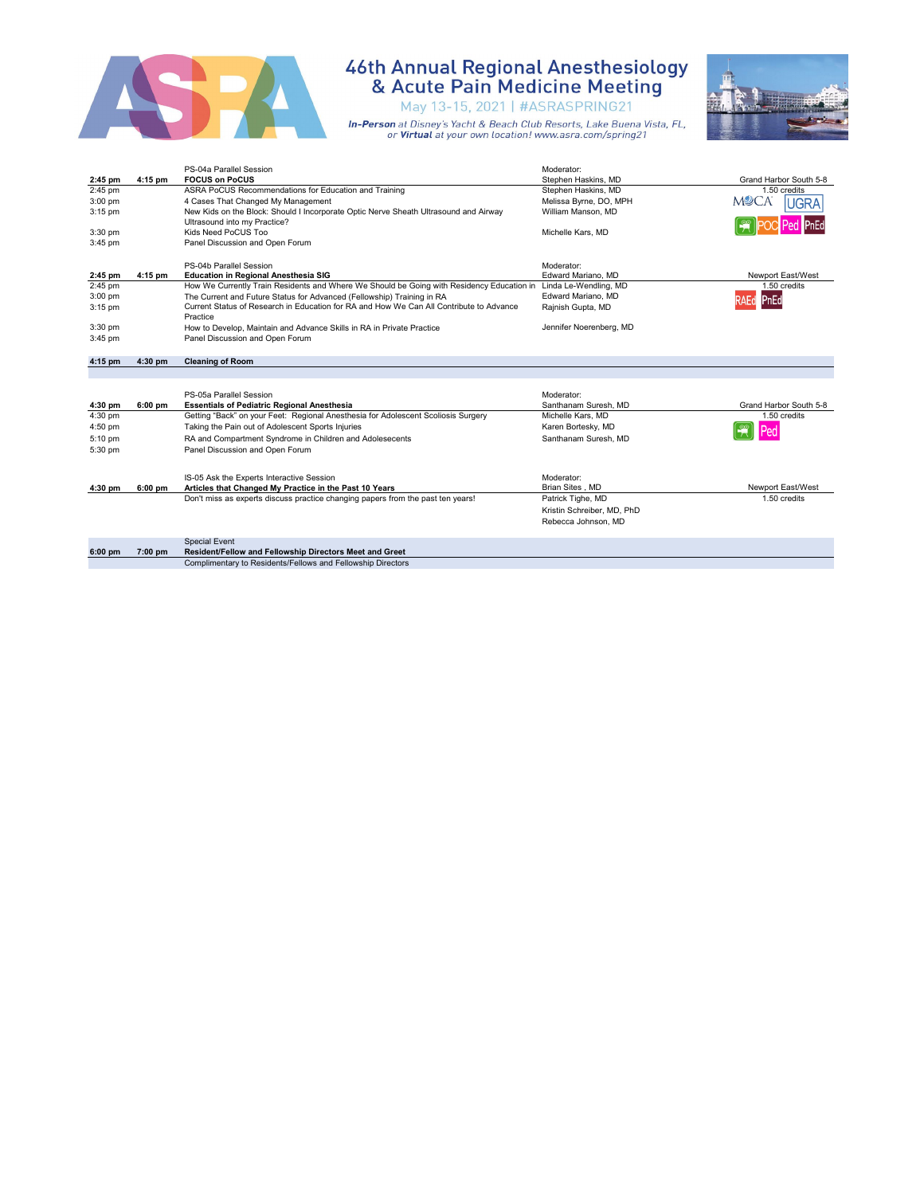

May 13-15, 2021 | #ASRASPRING21



|           |         | PS-04a Parallel Session                                                                                                       | Moderator:                 |                        |
|-----------|---------|-------------------------------------------------------------------------------------------------------------------------------|----------------------------|------------------------|
| 2:45 pm   | 4:15 pm | <b>FOCUS on PoCUS</b>                                                                                                         | Stephen Haskins, MD        | Grand Harbor South 5-8 |
| 2:45 pm   |         | ASRA PoCUS Recommendations for Education and Training                                                                         | Stephen Haskins, MD        | 1.50 credits           |
| $3:00$ pm |         | 4 Cases That Changed My Management                                                                                            | Melissa Byrne, DO, MPH     | MYCA<br><b>UGRA</b>    |
| $3:15$ pm |         | New Kids on the Block: Should I Incorporate Optic Nerve Sheath Ultrasound and Airway                                          | William Manson, MD         |                        |
|           |         | Ultrasound into my Practice?                                                                                                  |                            |                        |
| 3:30 pm   |         | Kids Need PoCUS Too                                                                                                           | Michelle Kars, MD          |                        |
| 3:45 pm   |         | Panel Discussion and Open Forum                                                                                               |                            |                        |
|           |         |                                                                                                                               |                            |                        |
|           |         | PS-04b Parallel Session                                                                                                       | Moderator:                 |                        |
| 2:45 pm   | 4:15 pm | <b>Education in Regional Anesthesia SIG</b>                                                                                   | Edward Mariano, MD         | Newport East/West      |
| $2:45$ pm |         | How We Currently Train Residents and Where We Should be Going with Residency Education in                                     | Linda Le-Wendling, MD      | 1.50 credits           |
| 3:00 pm   |         | The Current and Future Status for Advanced (Fellowship) Training in RA                                                        | Edward Mariano, MD         | PnEd                   |
| 3:15 pm   |         | Current Status of Research in Education for RA and How We Can All Contribute to Advance                                       | Rajnish Gupta, MD          |                        |
|           |         | Practice                                                                                                                      |                            |                        |
| 3:30 pm   |         | How to Develop, Maintain and Advance Skills in RA in Private Practice                                                         | Jennifer Noerenberg, MD    |                        |
| 3:45 pm   |         | Panel Discussion and Open Forum                                                                                               |                            |                        |
|           |         |                                                                                                                               |                            |                        |
| 4:15 pm   | 4:30 pm | <b>Cleaning of Room</b>                                                                                                       |                            |                        |
|           |         |                                                                                                                               |                            |                        |
|           |         |                                                                                                                               |                            |                        |
|           |         | PS-05a Parallel Session                                                                                                       | Moderator:                 |                        |
| 4:30 pm   | 6:00 pm | <b>Essentials of Pediatric Regional Anesthesia</b>                                                                            | Santhanam Suresh, MD       | Grand Harbor South 5-8 |
| 4:30 pm   |         | Getting "Back" on your Feet: Regional Anesthesia for Adolescent Scoliosis Surgery                                             | Michelle Kars, MD          | 1.50 credits           |
| 4:50 pm   |         | Taking the Pain out of Adolescent Sports Injuries                                                                             | Karen Bortesky, MD         | Ped                    |
| 5:10 pm   |         | RA and Compartment Syndrome in Children and Adolesecents                                                                      | Santhanam Suresh, MD       |                        |
| 5:30 pm   |         |                                                                                                                               |                            |                        |
|           |         | Panel Discussion and Open Forum                                                                                               |                            |                        |
|           |         |                                                                                                                               |                            |                        |
|           |         |                                                                                                                               |                            |                        |
|           |         | IS-05 Ask the Experts Interactive Session                                                                                     | Moderator:                 |                        |
| 4:30 pm   | 6:00 pm | Articles that Changed My Practice in the Past 10 Years                                                                        | Brian Sites, MD            | Newport East/West      |
|           |         | Don't miss as experts discuss practice changing papers from the past ten years!                                               | Patrick Tighe, MD          | 1.50 credits           |
|           |         |                                                                                                                               | Kristin Schreiber, MD, PhD |                        |
|           |         |                                                                                                                               | Rebecca Johnson, MD        |                        |
|           |         |                                                                                                                               |                            |                        |
|           |         | <b>Special Event</b>                                                                                                          |                            |                        |
| 6:00 pm   | 7:00 pm | <b>Resident/Fellow and Fellowship Directors Meet and Greet</b><br>Complimentary to Residents/Fellows and Fellowship Directors |                            |                        |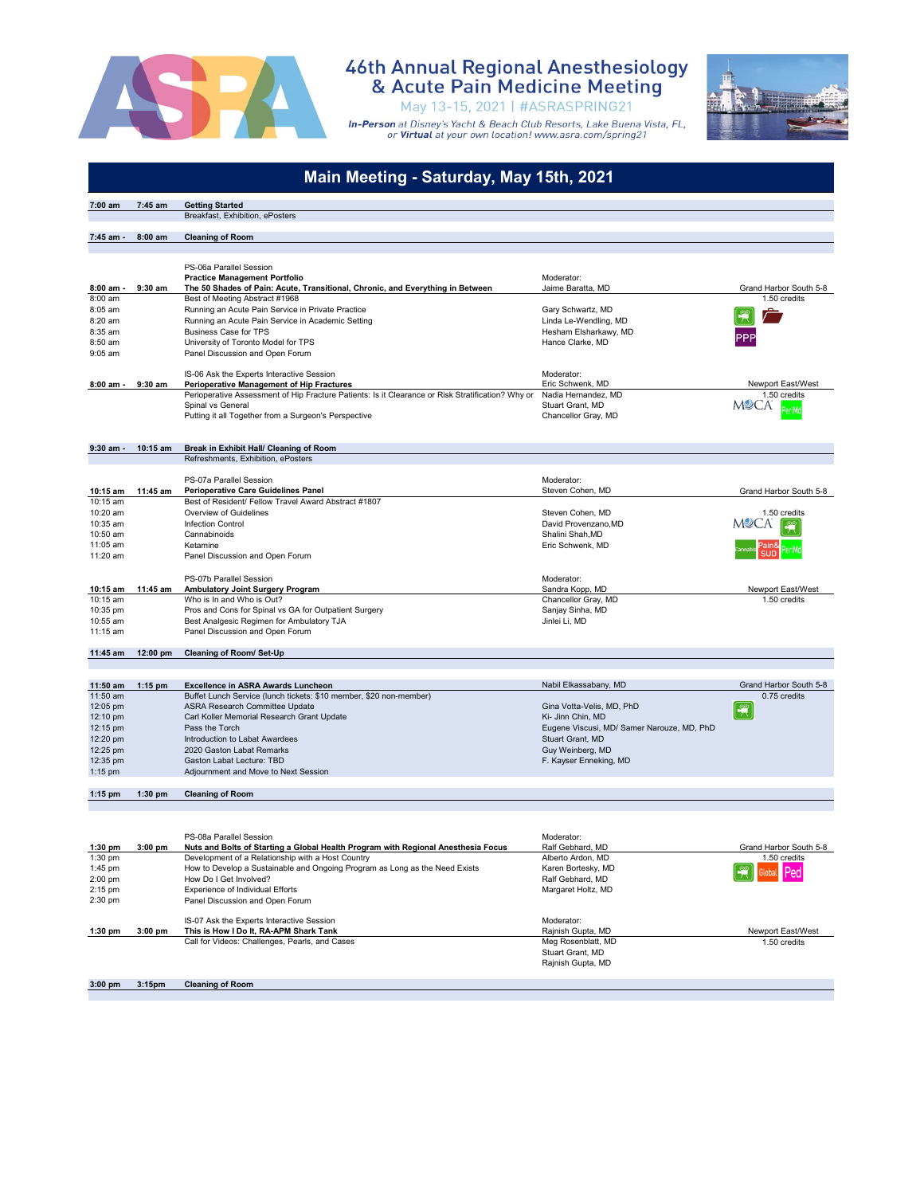

May 13-15, 2021 | #ASRASPRING21



|                        |                    | Main Meeting - Saturday, May 15th, 2021                                                                                                               |                                                                 |                                        |
|------------------------|--------------------|-------------------------------------------------------------------------------------------------------------------------------------------------------|-----------------------------------------------------------------|----------------------------------------|
| 7:00 am                | 7:45 am            | <b>Getting Started</b>                                                                                                                                |                                                                 |                                        |
|                        |                    | Breakfast, Exhibition, ePosters                                                                                                                       |                                                                 |                                        |
| 7:45 am -              | $8:00$ am          | <b>Cleaning of Room</b>                                                                                                                               |                                                                 |                                        |
|                        |                    |                                                                                                                                                       |                                                                 |                                        |
|                        |                    | PS-06a Parallel Session                                                                                                                               |                                                                 |                                        |
|                        |                    | <b>Practice Management Portfolio</b>                                                                                                                  | Moderator:                                                      |                                        |
| $8:00$ am -<br>8:00 am | $9:30$ am          | The 50 Shades of Pain: Acute, Transitional, Chronic, and Everything in Between<br>Best of Meeting Abstract #1968                                      | Jaime Baratta, MD                                               | Grand Harbor South 5-8<br>1.50 credits |
| 8:05 am                |                    | Running an Acute Pain Service in Private Practice                                                                                                     | Gary Schwartz, MD                                               |                                        |
| 8:20 am                |                    | Running an Acute Pain Service in Academic Setting                                                                                                     | Linda Le-Wendling, MD                                           |                                        |
| 8:35 am                |                    | <b>Business Case for TPS</b>                                                                                                                          | Hesham Elsharkawy, MD                                           |                                        |
| $8:50$ am<br>$9:05$ am |                    | University of Toronto Model for TPS<br>Panel Discussion and Open Forum                                                                                | Hance Clarke, MD                                                |                                        |
|                        |                    |                                                                                                                                                       |                                                                 |                                        |
|                        |                    | IS-06 Ask the Experts Interactive Session                                                                                                             | Moderator:<br>Eric Schwenk, MD                                  | Newport East/West                      |
| 8:00 am -              | $9:30$ am          | <b>Perioperative Management of Hip Fractures</b><br>Perioperative Assessment of Hip Fracture Patients: Is it Clearance or Risk Stratification? Why or | Nadia Hernandez, MD                                             | 1.50 credits                           |
|                        |                    | Spinal vs General                                                                                                                                     | Stuart Grant, MD                                                | MYCA                                   |
|                        |                    | Putting it all Together from a Surgeon's Perspective                                                                                                  | Chancellor Gray, MD                                             |                                        |
|                        |                    |                                                                                                                                                       |                                                                 |                                        |
| 9:30 am -              | 10:15 am           | Break in Exhibit Hall/ Cleaning of Room                                                                                                               |                                                                 |                                        |
|                        |                    | Refreshments, Exhibition, ePosters                                                                                                                    |                                                                 |                                        |
|                        |                    | PS-07a Parallel Session                                                                                                                               | Moderator:                                                      |                                        |
| 10:15 am               | 11:45 am           | <b>Perioperative Care Guidelines Panel</b>                                                                                                            | Steven Cohen, MD                                                | Grand Harbor South 5-8                 |
| 10:15 am<br>10:20 am   |                    | Best of Resident/ Fellow Travel Award Abstract #1807                                                                                                  | Steven Cohen, MD                                                |                                        |
| 10:35 am               |                    | Overview of Guidelines<br><b>Infection Control</b>                                                                                                    | David Provenzano, MD                                            | 1.50 credits                           |
| 10:50 am               |                    | Cannabinoids                                                                                                                                          | Shalini Shah, MD                                                |                                        |
| 11:05 am               |                    | Ketamine                                                                                                                                              | Eric Schwenk, MD                                                |                                        |
| 11:20 am               |                    | Panel Discussion and Open Forum                                                                                                                       |                                                                 |                                        |
|                        |                    | PS-07b Parallel Session                                                                                                                               | Moderator:                                                      |                                        |
| 10:15 am               | 11:45 am           | Ambulatory Joint Surgery Program                                                                                                                      | Sandra Kopp, MD                                                 | Newport East/West                      |
| 10:15 am<br>10:35 pm   |                    | Who is In and Who is Out?<br>Pros and Cons for Spinal vs GA for Outpatient Surgery                                                                    | Chancellor Gray, MD<br>Sanjay Sinha, MD                         | 1.50 credits                           |
| 10:55 am               |                    | Best Analgesic Regimen for Ambulatory TJA                                                                                                             | Jinlei Li, MD                                                   |                                        |
| 11:15 am               |                    | Panel Discussion and Open Forum                                                                                                                       |                                                                 |                                        |
| 11:45 am               | $12:00 \text{ pm}$ | <b>Cleaning of Room/ Set-Up</b>                                                                                                                       |                                                                 |                                        |
|                        |                    |                                                                                                                                                       |                                                                 |                                        |
| 11:50 am               | $1:15$ pm          | <b>Excellence in ASRA Awards Luncheon</b>                                                                                                             | Nabil Elkassabany, MD                                           | Grand Harbor South 5-8                 |
| 11:50 am               |                    | Buffet Lunch Service (lunch tickets: \$10 member, \$20 non-member)                                                                                    |                                                                 | 0.75 credits                           |
| 12:05 pm               |                    | ASRA Research Committee Update                                                                                                                        | Gina Votta-Velis, MD, PhD                                       |                                        |
| 12:10 pm<br>12:15 pm   |                    | Carl Koller Memorial Research Grant Update<br>Pass the Torch                                                                                          | Ki- Jinn Chin, MD<br>Eugene Viscusi, MD/ Samer Narouze, MD, PhD |                                        |
| 12:20 pm               |                    | Introduction to Labat Awardees                                                                                                                        | Stuart Grant, MD                                                |                                        |
| 12:25 pm               |                    | 2020 Gaston Labat Remarks                                                                                                                             | Guy Weinberg, MD                                                |                                        |
| 12:35 pm               |                    | Gaston Labat Lecture: TBD                                                                                                                             | F. Kayser Enneking, MD                                          |                                        |
| 1:15 pm                |                    | Adjournment and Move to Next Session                                                                                                                  |                                                                 |                                        |
| $1:15$ pm              | $1:30$ pm          | <b>Cleaning of Room</b>                                                                                                                               |                                                                 |                                        |
|                        |                    |                                                                                                                                                       |                                                                 |                                        |
|                        |                    | PS-08a Parallel Session                                                                                                                               | Moderator:                                                      |                                        |
| 1:30 pm<br>1:30 pm     | $3:00$ pm          | Nuts and Bolts of Starting a Global Health Program with Regional Anesthesia Focus                                                                     | Ralf Gebhard, MD                                                | Grand Harbor South 5-8                 |
| 1:45 pm                |                    | Development of a Relationship with a Host Country<br>How to Develop a Sustainable and Ongoing Program as Long as the Need Exists                      | Alberto Ardon, MD<br>Karen Bortesky, MD                         | 1.50 credits                           |
| 2:00 pm                |                    | How Do I Get Involved?                                                                                                                                | Ralf Gebhard, MD                                                |                                        |
| 2:15 pm                |                    | Experience of Individual Efforts                                                                                                                      | Margaret Holtz, MD                                              |                                        |
| 2:30 pm                |                    | Panel Discussion and Open Forum                                                                                                                       |                                                                 |                                        |
|                        |                    | IS-07 Ask the Experts Interactive Session                                                                                                             | Moderator:                                                      |                                        |
| 1:30 pm                | $3:00$ pm          | This is How I Do It, RA-APM Shark Tank                                                                                                                | Rajnish Gupta, MD                                               | Newport East/West                      |
|                        |                    | Call for Videos: Challenges, Pearls, and Cases                                                                                                        | Meg Rosenblatt, MD<br>Stuart Grant, MD                          | 1.50 credits                           |
|                        |                    |                                                                                                                                                       | Rajnish Gupta, MD                                               |                                        |
| $3.00 \text{ nm}$      | 3.15nm             | Cleaning of Poom                                                                                                                                      |                                                                 |                                        |